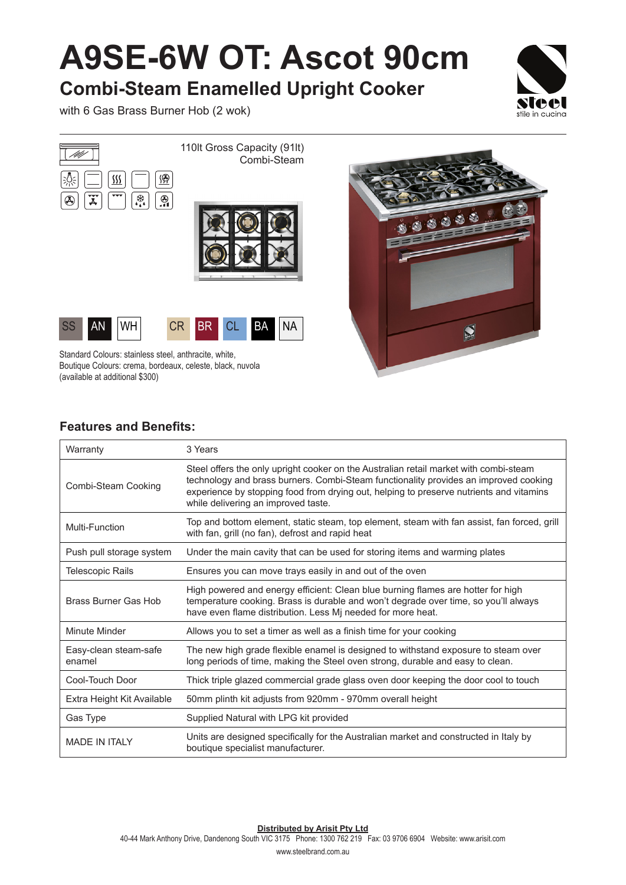## **A9SE-6W OT: Ascot 90cm**

**Combi-Steam Enamelled Upright Cooker**

with 6 Gas Brass Burner Hob (2 wok)









Standard Colours: stainless steel, anthracite, white, Boutique Colours: crema, bordeaux, celeste, black, nuvola (available at additional \$300)



## **Features and Benefits:**

| Warranty                        | 3 Years                                                                                                                                                                                                                                                                                                         |
|---------------------------------|-----------------------------------------------------------------------------------------------------------------------------------------------------------------------------------------------------------------------------------------------------------------------------------------------------------------|
| Combi-Steam Cooking             | Steel offers the only upright cooker on the Australian retail market with combi-steam<br>technology and brass burners. Combi-Steam functionality provides an improved cooking<br>experience by stopping food from drying out, helping to preserve nutrients and vitamins<br>while delivering an improved taste. |
| Multi-Function                  | Top and bottom element, static steam, top element, steam with fan assist, fan forced, grill<br>with fan, grill (no fan), defrost and rapid heat                                                                                                                                                                 |
| Push pull storage system        | Under the main cavity that can be used for storing items and warming plates                                                                                                                                                                                                                                     |
| Telescopic Rails                | Ensures you can move trays easily in and out of the oven                                                                                                                                                                                                                                                        |
| <b>Brass Burner Gas Hob</b>     | High powered and energy efficient: Clean blue burning flames are hotter for high<br>temperature cooking. Brass is durable and won't degrade over time, so you'll always<br>have even flame distribution. Less Mj needed for more heat.                                                                          |
| Minute Minder                   | Allows you to set a timer as well as a finish time for your cooking                                                                                                                                                                                                                                             |
| Easy-clean steam-safe<br>enamel | The new high grade flexible enamel is designed to withstand exposure to steam over<br>long periods of time, making the Steel oven strong, durable and easy to clean.                                                                                                                                            |
| Cool-Touch Door                 | Thick triple glazed commercial grade glass oven door keeping the door cool to touch                                                                                                                                                                                                                             |
| Extra Height Kit Available      | 50mm plinth kit adjusts from 920mm - 970mm overall height                                                                                                                                                                                                                                                       |
| Gas Type                        | Supplied Natural with LPG kit provided                                                                                                                                                                                                                                                                          |
| <b>MADE IN ITALY</b>            | Units are designed specifically for the Australian market and constructed in Italy by<br>boutique specialist manufacturer.                                                                                                                                                                                      |

**Distributed by Arisit Pty Ltd**

40-44 Mark Anthony Drive, Dandenong South VIC 3175 Phone: 1300 762 219 Fax: 03 9706 6904 Website: www.arisit.com

www.steelbrand.com.au